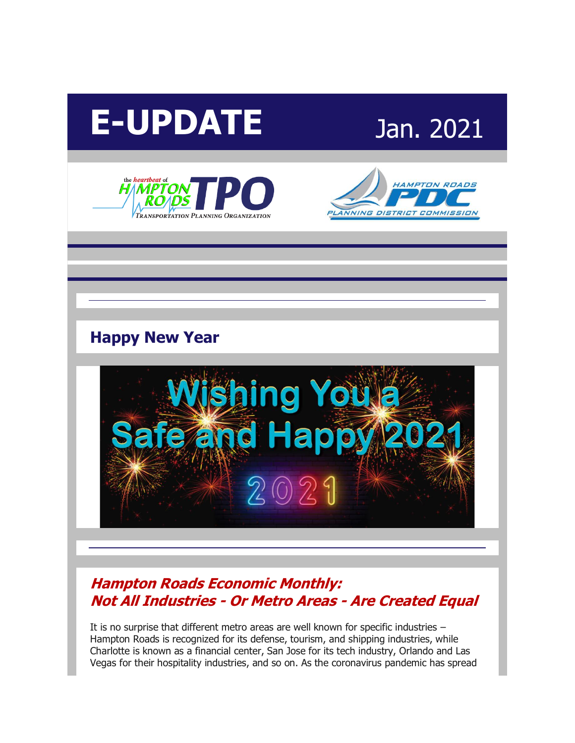# **E-UPDATE** Jan. 2021







# **Happy New Year**



#### **[Hampton Roads Economic Monthly:](http://r20.rs6.net/tn.jsp?f=001G7sa78bgPn9YYt1grCUb9YeiGBQqkoWiZdxdWUvuL1SNco-60gGFbOe9LEeQSBBkR6SUbZSvmviZT_2Ab4wAo72Tob_hcCL0vejdLNFL7sQeZxP42qtTDxDgszpfMiwicsCmO7GMukjUE8Ni7wxOMPvEl-GNnQjYFbYz9DPg024p3HjHUy4b9O8-ZenfnjTE1ojDS63760WO6yGtt-pR4g==&c=djWrRVq2ZXxJbOHsVfHaINk0pakHKGInDZ_s1584KHcz-p5Hnf1eEA==&ch=uiq_ADrQ_1Q_qbWwJUMsb-rwr_Pla6lfVdTwpKHaQZqbShDM-YASHg==)  Not All Industries - Or Metro Areas - [Are Created Equal](http://r20.rs6.net/tn.jsp?f=001G7sa78bgPn9YYt1grCUb9YeiGBQqkoWiZdxdWUvuL1SNco-60gGFbOe9LEeQSBBkR6SUbZSvmviZT_2Ab4wAo72Tob_hcCL0vejdLNFL7sQeZxP42qtTDxDgszpfMiwicsCmO7GMukjUE8Ni7wxOMPvEl-GNnQjYFbYz9DPg024p3HjHUy4b9O8-ZenfnjTE1ojDS63760WO6yGtt-pR4g==&c=djWrRVq2ZXxJbOHsVfHaINk0pakHKGInDZ_s1584KHcz-p5Hnf1eEA==&ch=uiq_ADrQ_1Q_qbWwJUMsb-rwr_Pla6lfVdTwpKHaQZqbShDM-YASHg==)**

It is no surprise that different metro areas are well known for specific industries – Hampton Roads is recognized for its defense, tourism, and shipping industries, while Charlotte is known as a financial center, San Jose for its tech industry, Orlando and Las Vegas for their hospitality industries, and so on. As the coronavirus pandemic has spread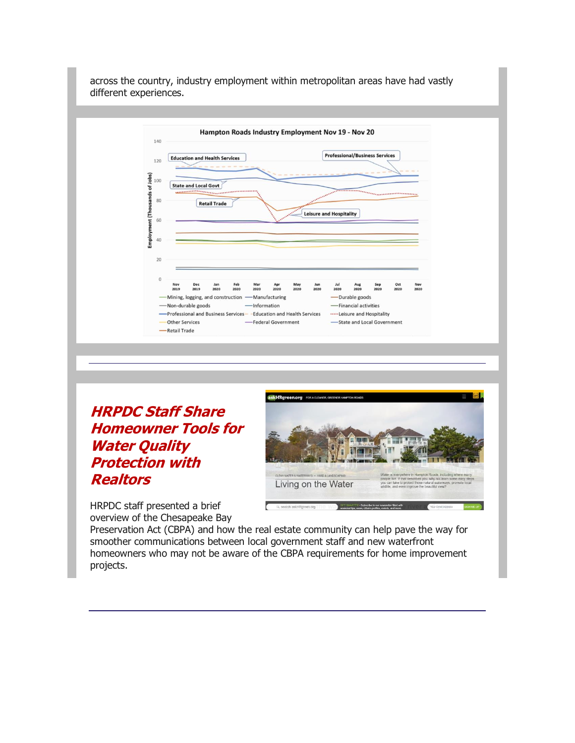

**[HRPDC Staff Share](http://r20.rs6.net/tn.jsp?f=001G7sa78bgPn9YYt1grCUb9YeiGBQqkoWiZdxdWUvuL1SNco-60gGFbOe9LEeQSBBk4QLu-7U06nRs_fbtkfszOBHNeD6xEKnoi8xrnIC09wPGUY0m4tE8muL1dyQ-LvBlrDYnFcN1oWCstQWK9reV2wf-TMAzoSIgDtByGiiitlfEP7q8PCxT2-Auj5AogDtJcQWsRRI3MW5tKMWioboDG8HllpHqX9LQdH4hsYh7kHrp8cPT7wwaCl1BAeBsegJXvRkf7LMHvfgMN6V9PpbCY6vpby5XEwLN2R2m86376lk=&c=djWrRVq2ZXxJbOHsVfHaINk0pakHKGInDZ_s1584KHcz-p5Hnf1eEA==&ch=uiq_ADrQ_1Q_qbWwJUMsb-rwr_Pla6lfVdTwpKHaQZqbShDM-YASHg==)  [Homeowner Tools for](http://r20.rs6.net/tn.jsp?f=001G7sa78bgPn9YYt1grCUb9YeiGBQqkoWiZdxdWUvuL1SNco-60gGFbOe9LEeQSBBk4QLu-7U06nRs_fbtkfszOBHNeD6xEKnoi8xrnIC09wPGUY0m4tE8muL1dyQ-LvBlrDYnFcN1oWCstQWK9reV2wf-TMAzoSIgDtByGiiitlfEP7q8PCxT2-Auj5AogDtJcQWsRRI3MW5tKMWioboDG8HllpHqX9LQdH4hsYh7kHrp8cPT7wwaCl1BAeBsegJXvRkf7LMHvfgMN6V9PpbCY6vpby5XEwLN2R2m86376lk=&c=djWrRVq2ZXxJbOHsVfHaINk0pakHKGInDZ_s1584KHcz-p5Hnf1eEA==&ch=uiq_ADrQ_1Q_qbWwJUMsb-rwr_Pla6lfVdTwpKHaQZqbShDM-YASHg==)  [Water Quality](http://r20.rs6.net/tn.jsp?f=001G7sa78bgPn9YYt1grCUb9YeiGBQqkoWiZdxdWUvuL1SNco-60gGFbOe9LEeQSBBk4QLu-7U06nRs_fbtkfszOBHNeD6xEKnoi8xrnIC09wPGUY0m4tE8muL1dyQ-LvBlrDYnFcN1oWCstQWK9reV2wf-TMAzoSIgDtByGiiitlfEP7q8PCxT2-Auj5AogDtJcQWsRRI3MW5tKMWioboDG8HllpHqX9LQdH4hsYh7kHrp8cPT7wwaCl1BAeBsegJXvRkf7LMHvfgMN6V9PpbCY6vpby5XEwLN2R2m86376lk=&c=djWrRVq2ZXxJbOHsVfHaINk0pakHKGInDZ_s1584KHcz-p5Hnf1eEA==&ch=uiq_ADrQ_1Q_qbWwJUMsb-rwr_Pla6lfVdTwpKHaQZqbShDM-YASHg==)  [Protection with](http://r20.rs6.net/tn.jsp?f=001G7sa78bgPn9YYt1grCUb9YeiGBQqkoWiZdxdWUvuL1SNco-60gGFbOe9LEeQSBBk4QLu-7U06nRs_fbtkfszOBHNeD6xEKnoi8xrnIC09wPGUY0m4tE8muL1dyQ-LvBlrDYnFcN1oWCstQWK9reV2wf-TMAzoSIgDtByGiiitlfEP7q8PCxT2-Auj5AogDtJcQWsRRI3MW5tKMWioboDG8HllpHqX9LQdH4hsYh7kHrp8cPT7wwaCl1BAeBsegJXvRkf7LMHvfgMN6V9PpbCY6vpby5XEwLN2R2m86376lk=&c=djWrRVq2ZXxJbOHsVfHaINk0pakHKGInDZ_s1584KHcz-p5Hnf1eEA==&ch=uiq_ADrQ_1Q_qbWwJUMsb-rwr_Pla6lfVdTwpKHaQZqbShDM-YASHg==)  [Realtors](http://r20.rs6.net/tn.jsp?f=001G7sa78bgPn9YYt1grCUb9YeiGBQqkoWiZdxdWUvuL1SNco-60gGFbOe9LEeQSBBk4QLu-7U06nRs_fbtkfszOBHNeD6xEKnoi8xrnIC09wPGUY0m4tE8muL1dyQ-LvBlrDYnFcN1oWCstQWK9reV2wf-TMAzoSIgDtByGiiitlfEP7q8PCxT2-Auj5AogDtJcQWsRRI3MW5tKMWioboDG8HllpHqX9LQdH4hsYh7kHrp8cPT7wwaCl1BAeBsegJXvRkf7LMHvfgMN6V9PpbCY6vpby5XEwLN2R2m86376lk=&c=djWrRVq2ZXxJbOHsVfHaINk0pakHKGInDZ_s1584KHcz-p5Hnf1eEA==&ch=uiq_ADrQ_1Q_qbWwJUMsb-rwr_Pla6lfVdTwpKHaQZqbShDM-YASHg==)**



HRPDC staff presented a brief overview of the Chesapeake Bay

Preservation Act (CBPA) and how the real estate community can help pave the way for smoother communications between local government staff and new waterfront homeowners who may not be aware of the CBPA requirements for home improvement projects.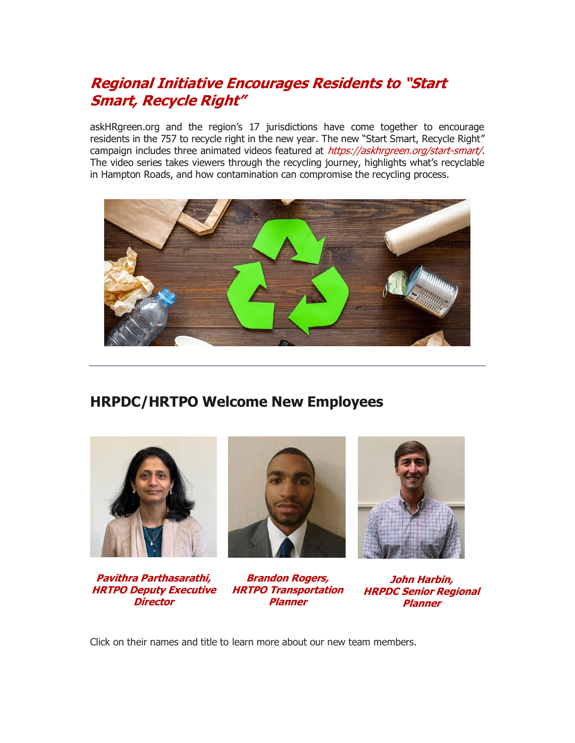#### **[Regional Initiative Encourages Residents to "Start](http://r20.rs6.net/tn.jsp?f=001G7sa78bgPn9YYt1grCUb9YeiGBQqkoWiZdxdWUvuL1SNco-60gGFbOe9LEeQSBBkvYh5TNxjnsgEFs2FyWWidsZmiHxGxYMw6MRSkWOW7Hg8D9WAuufGKerjI4Pf2Y3zYJcxghsXVzT5Qg2V1Gs3EGekp4CeL1kayQN-snuQpSYOXQeJJzB05LlEO_hDgjQyjA76r1acg94Qu1R1_geU5KVjtS046UCmJtMHWiXaylWgh5wl27R3vVmyJY3Zb0kGOaijCTkZQRA46S20i_bdqBZaku4TSJCZv9G5-AfsSqWOVIVNjqXhnzQ4rFKFaIBl_2nTfLZ0qcH4ECl4xrKalA==&c=djWrRVq2ZXxJbOHsVfHaINk0pakHKGInDZ_s1584KHcz-p5Hnf1eEA==&ch=uiq_ADrQ_1Q_qbWwJUMsb-rwr_Pla6lfVdTwpKHaQZqbShDM-YASHg==)  [Smart, Recycle Right"](http://r20.rs6.net/tn.jsp?f=001G7sa78bgPn9YYt1grCUb9YeiGBQqkoWiZdxdWUvuL1SNco-60gGFbOe9LEeQSBBkvYh5TNxjnsgEFs2FyWWidsZmiHxGxYMw6MRSkWOW7Hg8D9WAuufGKerjI4Pf2Y3zYJcxghsXVzT5Qg2V1Gs3EGekp4CeL1kayQN-snuQpSYOXQeJJzB05LlEO_hDgjQyjA76r1acg94Qu1R1_geU5KVjtS046UCmJtMHWiXaylWgh5wl27R3vVmyJY3Zb0kGOaijCTkZQRA46S20i_bdqBZaku4TSJCZv9G5-AfsSqWOVIVNjqXhnzQ4rFKFaIBl_2nTfLZ0qcH4ECl4xrKalA==&c=djWrRVq2ZXxJbOHsVfHaINk0pakHKGInDZ_s1584KHcz-p5Hnf1eEA==&ch=uiq_ADrQ_1Q_qbWwJUMsb-rwr_Pla6lfVdTwpKHaQZqbShDM-YASHg==)**

askHRgreen.org and the region's 17 jurisdictions have come together to encourage residents in the 757 to recycle right in the new year. The new "Start Smart, Recycle Right" campaign includes three animated videos featured at [https://askhrgreen.org/start-smart/](http://r20.rs6.net/tn.jsp?f=001G7sa78bgPn9YYt1grCUb9YeiGBQqkoWiZdxdWUvuL1SNco-60gGFbOe9LEeQSBBkfbuJfsPu9eOu61GR1goeFEbdcBGjiX5AcRYMSdg-SvE1tsOB9GYsd2f_mPn41wKhoRxIKKpJFmjnQrgVR1sWvMNl6G3f_ium&c=djWrRVq2ZXxJbOHsVfHaINk0pakHKGInDZ_s1584KHcz-p5Hnf1eEA==&ch=uiq_ADrQ_1Q_qbWwJUMsb-rwr_Pla6lfVdTwpKHaQZqbShDM-YASHg==). The video series takes viewers through the recycling journey, highlights what's recyclable in Hampton Roads, and how contamination can compromise the recycling process.



#### **HRPDC/HRTPO Welcome New Employees**



**[Pavithra Parthasarathi,](http://r20.rs6.net/tn.jsp?f=001G7sa78bgPn9YYt1grCUb9YeiGBQqkoWiZdxdWUvuL1SNco-60gGFbOe9LEeQSBBk3Sa9vUmb5DedhLmrKmWKOUBVAKRWooDdV1Hi6197pxsA4CcCYB_Tb5TCbsP5fUmkl2vDuncKCdmjRaqzNiM2rDnp2z3p2Ala05Hio5Q3WEF9sICTxcKFhyPwQkUOcSIKDUv_DRvGKQoT68R58sEc9uk_Ca2vRQcdOTGbyBQhuSVLTw3EM0d7us1VX8PcNUFY&c=djWrRVq2ZXxJbOHsVfHaINk0pakHKGInDZ_s1584KHcz-p5Hnf1eEA==&ch=uiq_ADrQ_1Q_qbWwJUMsb-rwr_Pla6lfVdTwpKHaQZqbShDM-YASHg==) [HRTPO Deputy Executive](http://r20.rs6.net/tn.jsp?f=001G7sa78bgPn9YYt1grCUb9YeiGBQqkoWiZdxdWUvuL1SNco-60gGFbOe9LEeQSBBk3Sa9vUmb5DedhLmrKmWKOUBVAKRWooDdV1Hi6197pxsA4CcCYB_Tb5TCbsP5fUmkl2vDuncKCdmjRaqzNiM2rDnp2z3p2Ala05Hio5Q3WEF9sICTxcKFhyPwQkUOcSIKDUv_DRvGKQoT68R58sEc9uk_Ca2vRQcdOTGbyBQhuSVLTw3EM0d7us1VX8PcNUFY&c=djWrRVq2ZXxJbOHsVfHaINk0pakHKGInDZ_s1584KHcz-p5Hnf1eEA==&ch=uiq_ADrQ_1Q_qbWwJUMsb-rwr_Pla6lfVdTwpKHaQZqbShDM-YASHg==)  [Director](http://r20.rs6.net/tn.jsp?f=001G7sa78bgPn9YYt1grCUb9YeiGBQqkoWiZdxdWUvuL1SNco-60gGFbOe9LEeQSBBk3Sa9vUmb5DedhLmrKmWKOUBVAKRWooDdV1Hi6197pxsA4CcCYB_Tb5TCbsP5fUmkl2vDuncKCdmjRaqzNiM2rDnp2z3p2Ala05Hio5Q3WEF9sICTxcKFhyPwQkUOcSIKDUv_DRvGKQoT68R58sEc9uk_Ca2vRQcdOTGbyBQhuSVLTw3EM0d7us1VX8PcNUFY&c=djWrRVq2ZXxJbOHsVfHaINk0pakHKGInDZ_s1584KHcz-p5Hnf1eEA==&ch=uiq_ADrQ_1Q_qbWwJUMsb-rwr_Pla6lfVdTwpKHaQZqbShDM-YASHg==)**



**[Brandon Rogers,](http://r20.rs6.net/tn.jsp?f=001G7sa78bgPn9YYt1grCUb9YeiGBQqkoWiZdxdWUvuL1SNco-60gGFbOe9LEeQSBBkP1b2FvY43wlDxLgaGZmBv4P9VfRhZ0h8AFHbj3W6hVf13b3oyR5Apfi0QPx24v_zC_ia4m33dhvqNdRf02uOL9pCAn8-2-O7qnuGq__DU07nqfFn1chUgMgH-rvuaS2Uggg3hHaBHzYo7q2aC3vB6HAuorwEEopxGEuniHINDVGwQXwTIGTPwCv_8AdsGlZI&c=djWrRVq2ZXxJbOHsVfHaINk0pakHKGInDZ_s1584KHcz-p5Hnf1eEA==&ch=uiq_ADrQ_1Q_qbWwJUMsb-rwr_Pla6lfVdTwpKHaQZqbShDM-YASHg==)  [HRTPO Transportation](http://r20.rs6.net/tn.jsp?f=001G7sa78bgPn9YYt1grCUb9YeiGBQqkoWiZdxdWUvuL1SNco-60gGFbOe9LEeQSBBkP1b2FvY43wlDxLgaGZmBv4P9VfRhZ0h8AFHbj3W6hVf13b3oyR5Apfi0QPx24v_zC_ia4m33dhvqNdRf02uOL9pCAn8-2-O7qnuGq__DU07nqfFn1chUgMgH-rvuaS2Uggg3hHaBHzYo7q2aC3vB6HAuorwEEopxGEuniHINDVGwQXwTIGTPwCv_8AdsGlZI&c=djWrRVq2ZXxJbOHsVfHaINk0pakHKGInDZ_s1584KHcz-p5Hnf1eEA==&ch=uiq_ADrQ_1Q_qbWwJUMsb-rwr_Pla6lfVdTwpKHaQZqbShDM-YASHg==)  [Planner](http://r20.rs6.net/tn.jsp?f=001G7sa78bgPn9YYt1grCUb9YeiGBQqkoWiZdxdWUvuL1SNco-60gGFbOe9LEeQSBBkP1b2FvY43wlDxLgaGZmBv4P9VfRhZ0h8AFHbj3W6hVf13b3oyR5Apfi0QPx24v_zC_ia4m33dhvqNdRf02uOL9pCAn8-2-O7qnuGq__DU07nqfFn1chUgMgH-rvuaS2Uggg3hHaBHzYo7q2aC3vB6HAuorwEEopxGEuniHINDVGwQXwTIGTPwCv_8AdsGlZI&c=djWrRVq2ZXxJbOHsVfHaINk0pakHKGInDZ_s1584KHcz-p5Hnf1eEA==&ch=uiq_ADrQ_1Q_qbWwJUMsb-rwr_Pla6lfVdTwpKHaQZqbShDM-YASHg==)**



**[John Harbin,](http://r20.rs6.net/tn.jsp?f=001G7sa78bgPn9YYt1grCUb9YeiGBQqkoWiZdxdWUvuL1SNco-60gGFbOe9LEeQSBBkYDdbqjJj3PtSTS7KaR2bgIvVC2RkIMx3JOWOex9kqheU9c92hvcK6zYx2oWiDgynJ6ztvOoaR58wSKdWu7a4gSmaHt7Uy9SLQnoGcjmr_ZB0K7qLaX0LG4_6N9kPS2e4v8QDqjwF36k8iwr07_C_fWsYaWCv7VxDH8Gi3rvTIUV2qxKmJ-PSPjgu_MYw3jMd&c=djWrRVq2ZXxJbOHsVfHaINk0pakHKGInDZ_s1584KHcz-p5Hnf1eEA==&ch=uiq_ADrQ_1Q_qbWwJUMsb-rwr_Pla6lfVdTwpKHaQZqbShDM-YASHg==) [HRPDC Senior Regional](http://r20.rs6.net/tn.jsp?f=001G7sa78bgPn9YYt1grCUb9YeiGBQqkoWiZdxdWUvuL1SNco-60gGFbOe9LEeQSBBkYDdbqjJj3PtSTS7KaR2bgIvVC2RkIMx3JOWOex9kqheU9c92hvcK6zYx2oWiDgynJ6ztvOoaR58wSKdWu7a4gSmaHt7Uy9SLQnoGcjmr_ZB0K7qLaX0LG4_6N9kPS2e4v8QDqjwF36k8iwr07_C_fWsYaWCv7VxDH8Gi3rvTIUV2qxKmJ-PSPjgu_MYw3jMd&c=djWrRVq2ZXxJbOHsVfHaINk0pakHKGInDZ_s1584KHcz-p5Hnf1eEA==&ch=uiq_ADrQ_1Q_qbWwJUMsb-rwr_Pla6lfVdTwpKHaQZqbShDM-YASHg==)  [Planner](http://r20.rs6.net/tn.jsp?f=001G7sa78bgPn9YYt1grCUb9YeiGBQqkoWiZdxdWUvuL1SNco-60gGFbOe9LEeQSBBkYDdbqjJj3PtSTS7KaR2bgIvVC2RkIMx3JOWOex9kqheU9c92hvcK6zYx2oWiDgynJ6ztvOoaR58wSKdWu7a4gSmaHt7Uy9SLQnoGcjmr_ZB0K7qLaX0LG4_6N9kPS2e4v8QDqjwF36k8iwr07_C_fWsYaWCv7VxDH8Gi3rvTIUV2qxKmJ-PSPjgu_MYw3jMd&c=djWrRVq2ZXxJbOHsVfHaINk0pakHKGInDZ_s1584KHcz-p5Hnf1eEA==&ch=uiq_ADrQ_1Q_qbWwJUMsb-rwr_Pla6lfVdTwpKHaQZqbShDM-YASHg==)**

Click on their names and title to learn more about our new team members.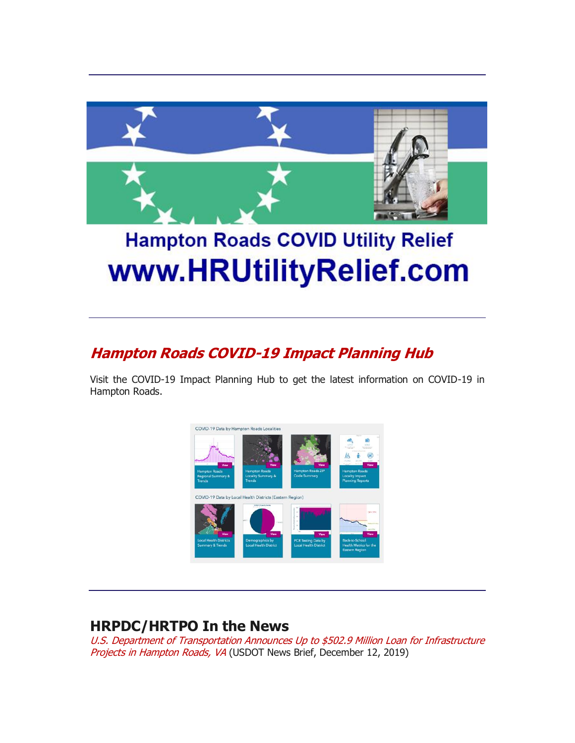

# **Hampton Roads COVID Utility Relief** www.HRUtilityRelief.com

## **[Hampton Roads COVID-19 Impact Planning Hub](http://r20.rs6.net/tn.jsp?f=001G7sa78bgPn9YYt1grCUb9YeiGBQqkoWiZdxdWUvuL1SNco-60gGFbJukRYviXAmSlvQomccDNI0NmBEYInGivDOIAN56S9tiaf2_1xGBgndsu10mQwp7uXbXInef6OPX8w5TBGV1oM7bSJSbgMUKPrpMbTIi4LIPOKIDoypcR_w=&c=djWrRVq2ZXxJbOHsVfHaINk0pakHKGInDZ_s1584KHcz-p5Hnf1eEA==&ch=uiq_ADrQ_1Q_qbWwJUMsb-rwr_Pla6lfVdTwpKHaQZqbShDM-YASHg==)**

Visit the COVID-19 Impact Planning Hub to get the latest information on COVID-19 in Hampton Roads.



#### **HRPDC/HRTPO In the News**

[U.S. Department of Transportation Announces Up to \\$502.9 Million Loan for Infrastructure](http://r20.rs6.net/tn.jsp?f=001G7sa78bgPn9YYt1grCUb9YeiGBQqkoWiZdxdWUvuL1SNco-60gGFbBT1v8o2X44E4ijI93yoye-npvyb9RhcF0iJh4SaXUSiUweUfDbwf7qGguq7pfecyO_CE0FcXUP6RenwAli1-iSpAbrGDDe2dGEEps5tbEmQ&c=djWrRVq2ZXxJbOHsVfHaINk0pakHKGInDZ_s1584KHcz-p5Hnf1eEA==&ch=uiq_ADrQ_1Q_qbWwJUMsb-rwr_Pla6lfVdTwpKHaQZqbShDM-YASHg==)  [Projects in Hampton Roads, VA](http://r20.rs6.net/tn.jsp?f=001G7sa78bgPn9YYt1grCUb9YeiGBQqkoWiZdxdWUvuL1SNco-60gGFbBT1v8o2X44E4ijI93yoye-npvyb9RhcF0iJh4SaXUSiUweUfDbwf7qGguq7pfecyO_CE0FcXUP6RenwAli1-iSpAbrGDDe2dGEEps5tbEmQ&c=djWrRVq2ZXxJbOHsVfHaINk0pakHKGInDZ_s1584KHcz-p5Hnf1eEA==&ch=uiq_ADrQ_1Q_qbWwJUMsb-rwr_Pla6lfVdTwpKHaQZqbShDM-YASHg==) (USDOT News Brief, December 12, 2019)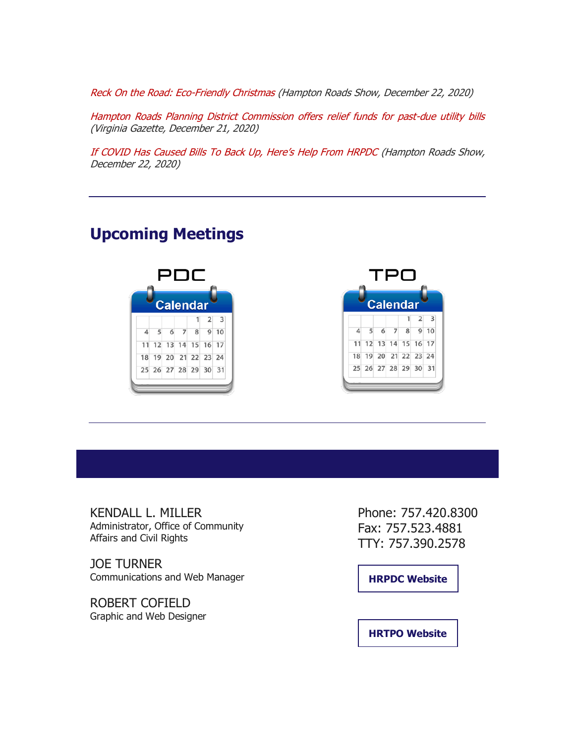[Reck On the Road: Eco-Friendly Christmas \(Hampton Roads Show, December 22, 2020\)](http://r20.rs6.net/tn.jsp?f=001G7sa78bgPn9YYt1grCUb9YeiGBQqkoWiZdxdWUvuL1SNco-60gGFbOe9LEeQSBBke0JsqUuhlzNndI5Ikdgv2TGv_Ij0oPQ52pzzHU2KEue0uGX6XJhJsb9YOdpXcBZHQP3cExULMWqxOrNZ9c55B6mjuYFk670j9dIfHlvKb9V2FlW6NNwwWjfjvVTdW06uaXtrlBXJBJZKQcwYM9dseTkD2ZUqWI-G_vpVIfqi-hU=&c=djWrRVq2ZXxJbOHsVfHaINk0pakHKGInDZ_s1584KHcz-p5Hnf1eEA==&ch=uiq_ADrQ_1Q_qbWwJUMsb-rwr_Pla6lfVdTwpKHaQZqbShDM-YASHg==)

[Hampton Roads Planning District Commission offers relief funds for past-due utility bills](http://r20.rs6.net/tn.jsp?f=001G7sa78bgPn9YYt1grCUb9YeiGBQqkoWiZdxdWUvuL1SNco-60gGFbOe9LEeQSBBklbewKE9SXAN7FrFG0Bpv6-UgCU2uzuVxMiV9tTrxfGIUBBcH6FmQhq80DtapzMcFo9NH1CmMxuZ5Ru1bgYPOh0ZqQMbPF2Hd1CP1y9nsDCvw2OEjzQ9LXOcVLr5TVwEG-CKrgaN-V7J0CEIG-RY4kw1QQ7SrDTnbD1LmzxnbZmG2f5E_7iwBIgSaAFNYL-MBdNEWYCrsycRlIeNL3rjV5w==&c=djWrRVq2ZXxJbOHsVfHaINk0pakHKGInDZ_s1584KHcz-p5Hnf1eEA==&ch=uiq_ADrQ_1Q_qbWwJUMsb-rwr_Pla6lfVdTwpKHaQZqbShDM-YASHg==)  [\(Virginia Gazette, December 21, 2020\)](http://r20.rs6.net/tn.jsp?f=001G7sa78bgPn9YYt1grCUb9YeiGBQqkoWiZdxdWUvuL1SNco-60gGFbOe9LEeQSBBklbewKE9SXAN7FrFG0Bpv6-UgCU2uzuVxMiV9tTrxfGIUBBcH6FmQhq80DtapzMcFo9NH1CmMxuZ5Ru1bgYPOh0ZqQMbPF2Hd1CP1y9nsDCvw2OEjzQ9LXOcVLr5TVwEG-CKrgaN-V7J0CEIG-RY4kw1QQ7SrDTnbD1LmzxnbZmG2f5E_7iwBIgSaAFNYL-MBdNEWYCrsycRlIeNL3rjV5w==&c=djWrRVq2ZXxJbOHsVfHaINk0pakHKGInDZ_s1584KHcz-p5Hnf1eEA==&ch=uiq_ADrQ_1Q_qbWwJUMsb-rwr_Pla6lfVdTwpKHaQZqbShDM-YASHg==)

[If COVID Has Caused Bills To Back Up, Here's Help From HRPDC](http://r20.rs6.net/tn.jsp?f=001G7sa78bgPn9YYt1grCUb9YeiGBQqkoWiZdxdWUvuL1SNco-60gGFbOe9LEeQSBBki_1cvfhhcflwzI96tFgTAng-AJ6gdAor-o4hC1Tvazl0W8p9nxS84fo0gCvZdhFVu0wK7utzDuAIiwm1YHuhCY-ZT8Bvt51sqIIfQupyU1qXXYrZWRxNqrAulslgUbGwr832LuzIaadpZzDiUNoYKXL4LV8PVhM24kuxwXzLFXo=&c=djWrRVq2ZXxJbOHsVfHaINk0pakHKGInDZ_s1584KHcz-p5Hnf1eEA==&ch=uiq_ADrQ_1Q_qbWwJUMsb-rwr_Pla6lfVdTwpKHaQZqbShDM-YASHg==) [\(Hampton Roads Show,](http://r20.rs6.net/tn.jsp?f=001G7sa78bgPn9YYt1grCUb9YeiGBQqkoWiZdxdWUvuL1SNco-60gGFbOe9LEeQSBBke0JsqUuhlzNndI5Ikdgv2TGv_Ij0oPQ52pzzHU2KEue0uGX6XJhJsb9YOdpXcBZHQP3cExULMWqxOrNZ9c55B6mjuYFk670j9dIfHlvKb9V2FlW6NNwwWjfjvVTdW06uaXtrlBXJBJZKQcwYM9dseTkD2ZUqWI-G_vpVIfqi-hU=&c=djWrRVq2ZXxJbOHsVfHaINk0pakHKGInDZ_s1584KHcz-p5Hnf1eEA==&ch=uiq_ADrQ_1Q_qbWwJUMsb-rwr_Pla6lfVdTwpKHaQZqbShDM-YASHg==)  [December 22, 2020\)](http://r20.rs6.net/tn.jsp?f=001G7sa78bgPn9YYt1grCUb9YeiGBQqkoWiZdxdWUvuL1SNco-60gGFbOe9LEeQSBBke0JsqUuhlzNndI5Ikdgv2TGv_Ij0oPQ52pzzHU2KEue0uGX6XJhJsb9YOdpXcBZHQP3cExULMWqxOrNZ9c55B6mjuYFk670j9dIfHlvKb9V2FlW6NNwwWjfjvVTdW06uaXtrlBXJBJZKQcwYM9dseTkD2ZUqWI-G_vpVIfqi-hU=&c=djWrRVq2ZXxJbOHsVfHaINk0pakHKGInDZ_s1584KHcz-p5Hnf1eEA==&ch=uiq_ADrQ_1Q_qbWwJUMsb-rwr_Pla6lfVdTwpKHaQZqbShDM-YASHg==)

### **Upcoming Meetings**





KENDALL L. MILLER Administrator, Office of Community Affairs and Civil Rights

JOE TURNER Communications and Web Manager

ROBERT COFIELD Graphic and Web Designer Phone: 757.420.8300 Fax: 757.523.4881 TTY: 757.390.2578

**[HRPDC Website](http://r20.rs6.net/tn.jsp?f=001G7sa78bgPn9YYt1grCUb9YeiGBQqkoWiZdxdWUvuL1SNco-60gGFbMLgkivz2_fIuDn1DxwMfG3N4vXTlDhD5Sh4WDPOWKgCfqzMUe1fUCk6oFkhTbVDidQMbL0QGn8r9gxRGTcMmiE6yjy0Z2t-aQ==&c=djWrRVq2ZXxJbOHsVfHaINk0pakHKGInDZ_s1584KHcz-p5Hnf1eEA==&ch=uiq_ADrQ_1Q_qbWwJUMsb-rwr_Pla6lfVdTwpKHaQZqbShDM-YASHg==)**

**[HRTPO Website](http://r20.rs6.net/tn.jsp?f=001G7sa78bgPn9YYt1grCUb9YeiGBQqkoWiZdxdWUvuL1SNco-60gGFbMLgkivz2_fIxNGry7ql8dLHKAB0pRWirO9iObBvb13N7fyFT72NqKk7ydYvJtmo-CIAMI0m66y-eaqXR1wcJf4=&c=djWrRVq2ZXxJbOHsVfHaINk0pakHKGInDZ_s1584KHcz-p5Hnf1eEA==&ch=uiq_ADrQ_1Q_qbWwJUMsb-rwr_Pla6lfVdTwpKHaQZqbShDM-YASHg==)**